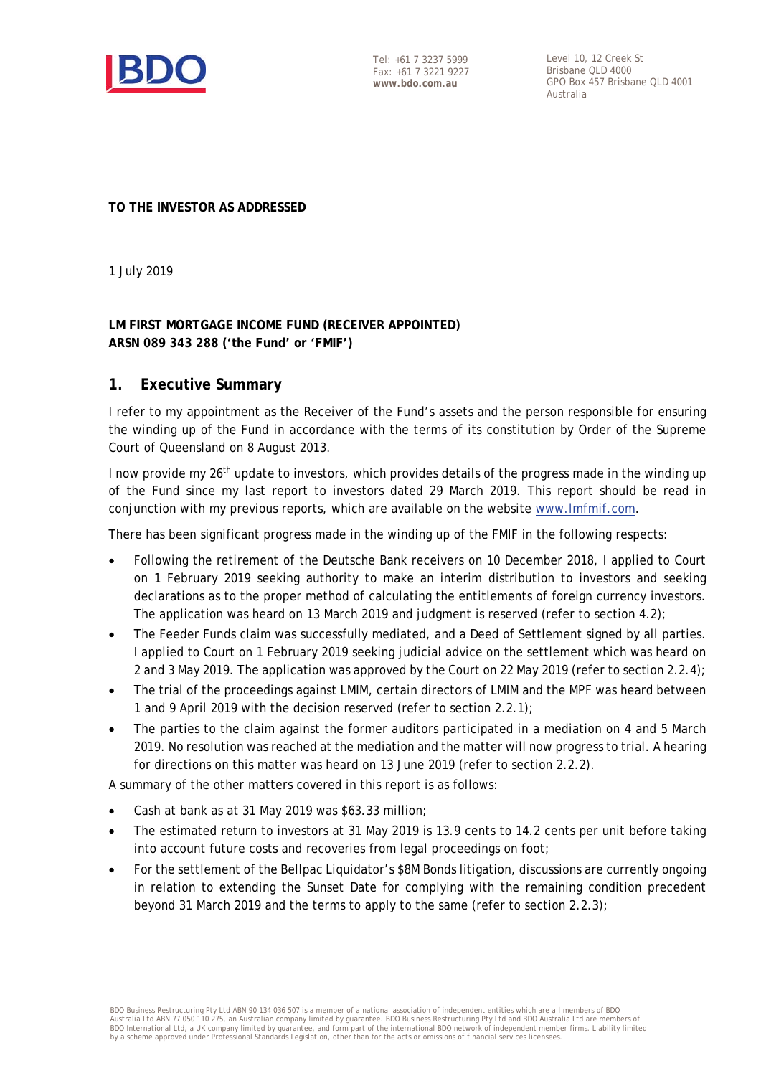

Tel: +61 7 3237 5999 Fax: +61 7 3221 9227 **www.bdo.com.au** 

Level 10, 12 Creek St Brisbane QLD 4000 GPO Box 457 Brisbane QLD 4001 Australia

#### **TO THE INVESTOR AS ADDRESSED**

1 July 2019

### **LM FIRST MORTGAGE INCOME FUND (RECEIVER APPOINTED) ARSN 089 343 288 ('the Fund' or 'FMIF')**

### **1. Executive Summary**

I refer to my appointment as the Receiver of the Fund's assets and the person responsible for ensuring the winding up of the Fund in accordance with the terms of its constitution by Order of the Supreme Court of Queensland on 8 August 2013.

I now provide my 26<sup>th</sup> update to investors, which provides details of the progress made in the winding up of the Fund since my last report to investors dated 29 March 2019. This report should be read in conjunction with my previous reports, which are available on the website www.lmfmif.com.

There has been significant progress made in the winding up of the FMIF in the following respects:

- Following the retirement of the Deutsche Bank receivers on 10 December 2018, I applied to Court on 1 February 2019 seeking authority to make an interim distribution to investors and seeking declarations as to the proper method of calculating the entitlements of foreign currency investors. The application was heard on 13 March 2019 and judgment is reserved (refer to section 4.2);
- The Feeder Funds claim was successfully mediated, and a Deed of Settlement signed by all parties. I applied to Court on 1 February 2019 seeking judicial advice on the settlement which was heard on 2 and 3 May 2019. The application was approved by the Court on 22 May 2019 (refer to section 2.2.4);
- The trial of the proceedings against LMIM, certain directors of LMIM and the MPF was heard between 1 and 9 April 2019 with the decision reserved (refer to section 2.2.1);
- The parties to the claim against the former auditors participated in a mediation on 4 and 5 March 2019. No resolution was reached at the mediation and the matter will now progress to trial. A hearing for directions on this matter was heard on 13 June 2019 (refer to section 2.2.2).

A summary of the other matters covered in this report is as follows:

- Cash at bank as at 31 May 2019 was \$63.33 million;
- The estimated return to investors at 31 May 2019 is 13.9 cents to 14.2 cents per unit before taking into account future costs and recoveries from legal proceedings on foot;
- For the settlement of the Bellpac Liquidator's \$8M Bonds litigation, discussions are currently ongoing in relation to extending the Sunset Date for complying with the remaining condition precedent beyond 31 March 2019 and the terms to apply to the same (refer to section 2.2.3);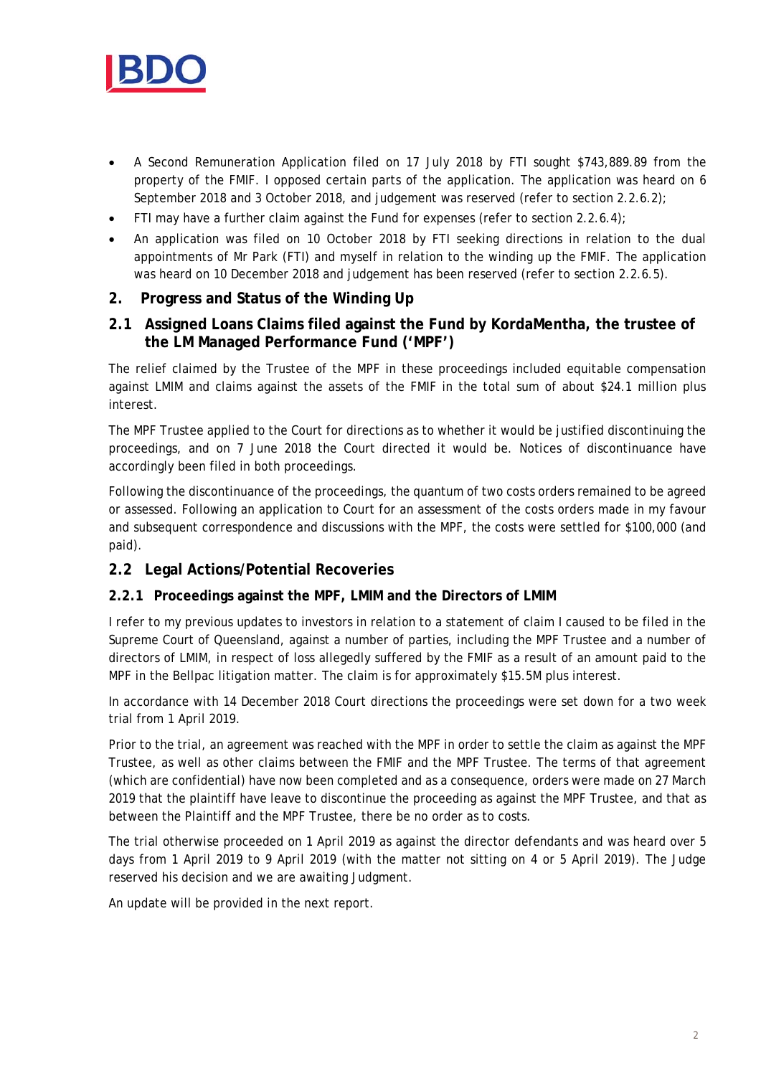

- A Second Remuneration Application filed on 17 July 2018 by FTI sought \$743,889.89 from the property of the FMIF. I opposed certain parts of the application. The application was heard on 6 September 2018 and 3 October 2018, and judgement was reserved (refer to section 2.2.6.2);
- FTI may have a further claim against the Fund for expenses (refer to section 2.2.6.4);
- An application was filed on 10 October 2018 by FTI seeking directions in relation to the dual appointments of Mr Park (FTI) and myself in relation to the winding up the FMIF. The application was heard on 10 December 2018 and judgement has been reserved (refer to section 2.2.6.5).

# **2. Progress and Status of the Winding Up**

# **2.1 Assigned Loans Claims filed against the Fund by KordaMentha, the trustee of the LM Managed Performance Fund ('MPF')**

The relief claimed by the Trustee of the MPF in these proceedings included equitable compensation against LMIM and claims against the assets of the FMIF in the total sum of about \$24.1 million plus interest.

The MPF Trustee applied to the Court for directions as to whether it would be justified discontinuing the proceedings, and on 7 June 2018 the Court directed it would be. Notices of discontinuance have accordingly been filed in both proceedings.

Following the discontinuance of the proceedings, the quantum of two costs orders remained to be agreed or assessed. Following an application to Court for an assessment of the costs orders made in my favour and subsequent correspondence and discussions with the MPF, the costs were settled for \$100,000 (and paid).

# **2.2 Legal Actions/Potential Recoveries**

### **2.2.1 Proceedings against the MPF, LMIM and the Directors of LMIM**

I refer to my previous updates to investors in relation to a statement of claim I caused to be filed in the Supreme Court of Queensland, against a number of parties, including the MPF Trustee and a number of directors of LMIM, in respect of loss allegedly suffered by the FMIF as a result of an amount paid to the MPF in the Bellpac litigation matter. The claim is for approximately \$15.5M plus interest.

In accordance with 14 December 2018 Court directions the proceedings were set down for a two week trial from 1 April 2019.

Prior to the trial, an agreement was reached with the MPF in order to settle the claim as against the MPF Trustee, as well as other claims between the FMIF and the MPF Trustee. The terms of that agreement (which are confidential) have now been completed and as a consequence, orders were made on 27 March 2019 that the plaintiff have leave to discontinue the proceeding as against the MPF Trustee, and that as between the Plaintiff and the MPF Trustee, there be no order as to costs.

The trial otherwise proceeded on 1 April 2019 as against the director defendants and was heard over 5 days from 1 April 2019 to 9 April 2019 (with the matter not sitting on 4 or 5 April 2019). The Judge reserved his decision and we are awaiting Judgment.

An update will be provided in the next report.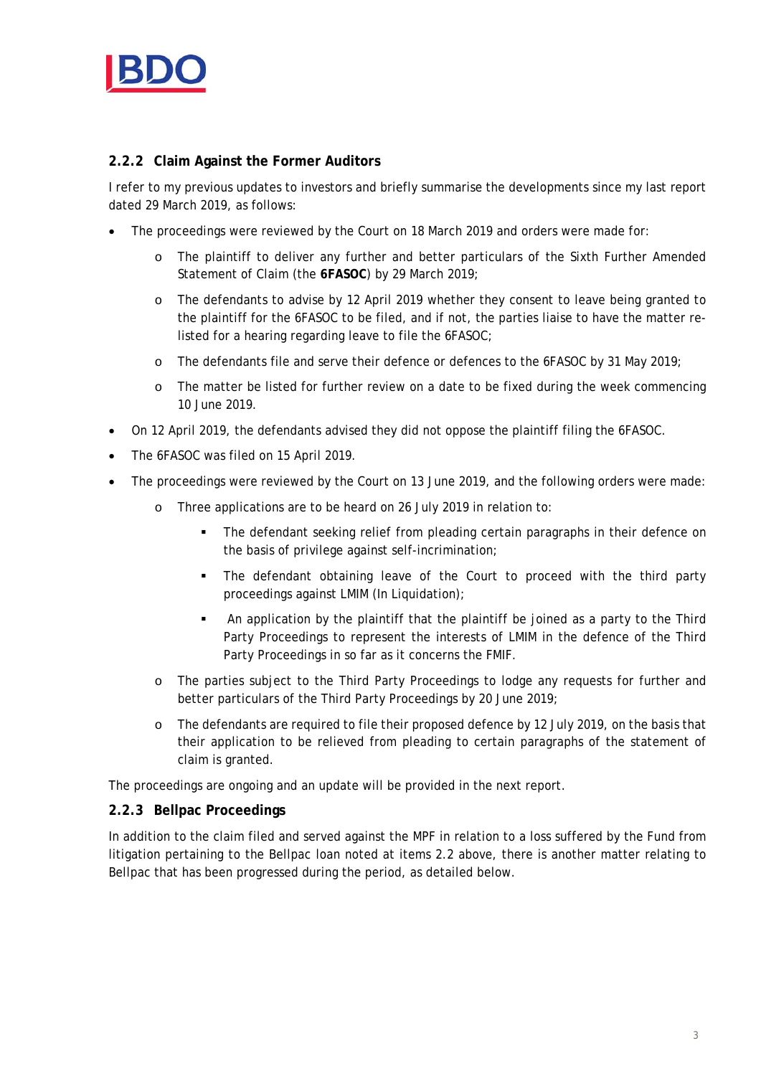

### **2.2.2 Claim Against the Former Auditors**

I refer to my previous updates to investors and briefly summarise the developments since my last report dated 29 March 2019, as follows:

- The proceedings were reviewed by the Court on 18 March 2019 and orders were made for:
	- o The plaintiff to deliver any further and better particulars of the Sixth Further Amended Statement of Claim (the **6FASOC**) by 29 March 2019;
	- o The defendants to advise by 12 April 2019 whether they consent to leave being granted to the plaintiff for the 6FASOC to be filed, and if not, the parties liaise to have the matter relisted for a hearing regarding leave to file the 6FASOC;
	- o The defendants file and serve their defence or defences to the 6FASOC by 31 May 2019;
	- o The matter be listed for further review on a date to be fixed during the week commencing 10 June 2019.
- On 12 April 2019, the defendants advised they did not oppose the plaintiff filing the 6FASOC.
- The 6FASOC was filed on 15 April 2019.
- The proceedings were reviewed by the Court on 13 June 2019, and the following orders were made:
	- o Three applications are to be heard on 26 July 2019 in relation to:
		- The defendant seeking relief from pleading certain paragraphs in their defence on the basis of privilege against self-incrimination;
		- The defendant obtaining leave of the Court to proceed with the third party proceedings against LMIM (In Liquidation);
		- An application by the plaintiff that the plaintiff be joined as a party to the Third Party Proceedings to represent the interests of LMIM in the defence of the Third Party Proceedings in so far as it concerns the FMIF.
	- o The parties subject to the Third Party Proceedings to lodge any requests for further and better particulars of the Third Party Proceedings by 20 June 2019;
	- o The defendants are required to file their proposed defence by 12 July 2019, on the basis that their application to be relieved from pleading to certain paragraphs of the statement of claim is granted.

The proceedings are ongoing and an update will be provided in the next report.

### **2.2.3 Bellpac Proceedings**

In addition to the claim filed and served against the MPF in relation to a loss suffered by the Fund from litigation pertaining to the Bellpac loan noted at items 2.2 above, there is another matter relating to Bellpac that has been progressed during the period, as detailed below.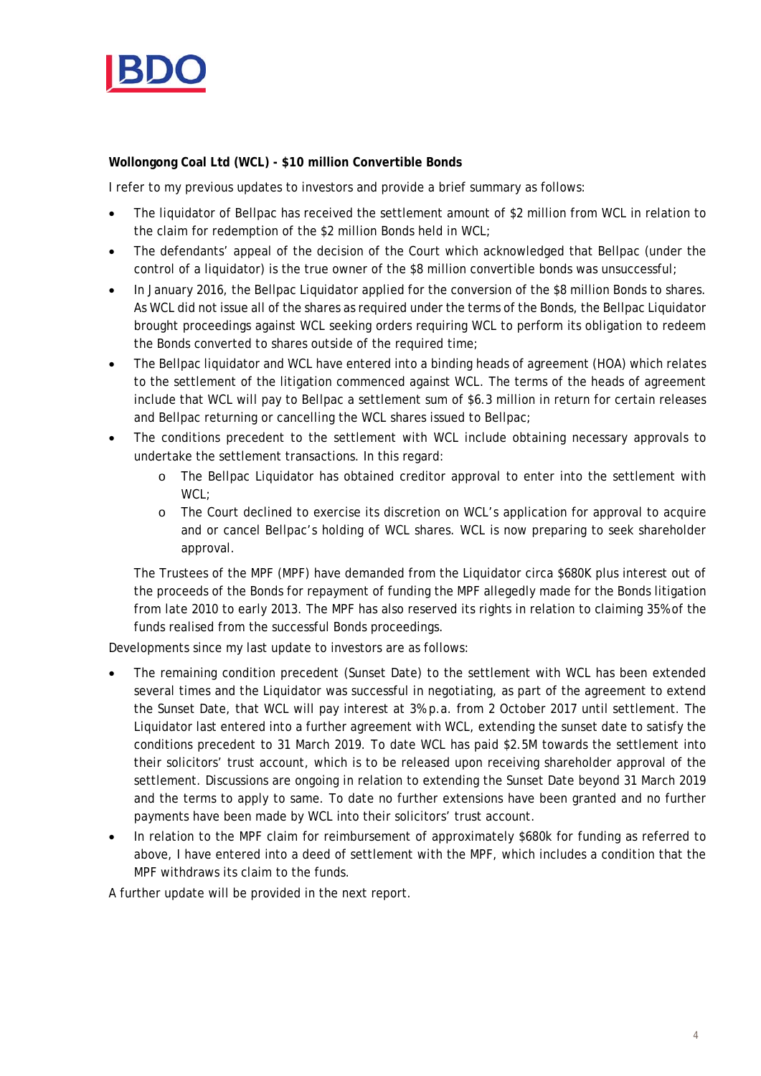

### **Wollongong Coal Ltd (WCL) - \$10 million Convertible Bonds**

I refer to my previous updates to investors and provide a brief summary as follows:

- The liquidator of Bellpac has received the settlement amount of \$2 million from WCL in relation to the claim for redemption of the \$2 million Bonds held in WCL;
- The defendants' appeal of the decision of the Court which acknowledged that Bellpac (under the control of a liquidator) is the true owner of the \$8 million convertible bonds was unsuccessful;
- In January 2016, the Bellpac Liquidator applied for the conversion of the \$8 million Bonds to shares. As WCL did not issue all of the shares as required under the terms of the Bonds, the Bellpac Liquidator brought proceedings against WCL seeking orders requiring WCL to perform its obligation to redeem the Bonds converted to shares outside of the required time;
- The Bellpac liquidator and WCL have entered into a binding heads of agreement (HOA) which relates to the settlement of the litigation commenced against WCL. The terms of the heads of agreement include that WCL will pay to Bellpac a settlement sum of \$6.3 million in return for certain releases and Bellpac returning or cancelling the WCL shares issued to Bellpac;
- The conditions precedent to the settlement with WCL include obtaining necessary approvals to undertake the settlement transactions. In this regard:
	- o The Bellpac Liquidator has obtained creditor approval to enter into the settlement with WCL;
	- o The Court declined to exercise its discretion on WCL's application for approval to acquire and or cancel Bellpac's holding of WCL shares. WCL is now preparing to seek shareholder approval.

The Trustees of the MPF (MPF) have demanded from the Liquidator circa \$680K plus interest out of the proceeds of the Bonds for repayment of funding the MPF allegedly made for the Bonds litigation from late 2010 to early 2013. The MPF has also reserved its rights in relation to claiming 35% of the funds realised from the successful Bonds proceedings.

Developments since my last update to investors are as follows:

- The remaining condition precedent (Sunset Date) to the settlement with WCL has been extended several times and the Liquidator was successful in negotiating, as part of the agreement to extend the Sunset Date, that WCL will pay interest at 3% p.a. from 2 October 2017 until settlement. The Liquidator last entered into a further agreement with WCL, extending the sunset date to satisfy the conditions precedent to 31 March 2019. To date WCL has paid \$2.5M towards the settlement into their solicitors' trust account, which is to be released upon receiving shareholder approval of the settlement. Discussions are ongoing in relation to extending the Sunset Date beyond 31 March 2019 and the terms to apply to same. To date no further extensions have been granted and no further payments have been made by WCL into their solicitors' trust account.
- In relation to the MPF claim for reimbursement of approximately \$680k for funding as referred to above, I have entered into a deed of settlement with the MPF, which includes a condition that the MPF withdraws its claim to the funds.

A further update will be provided in the next report.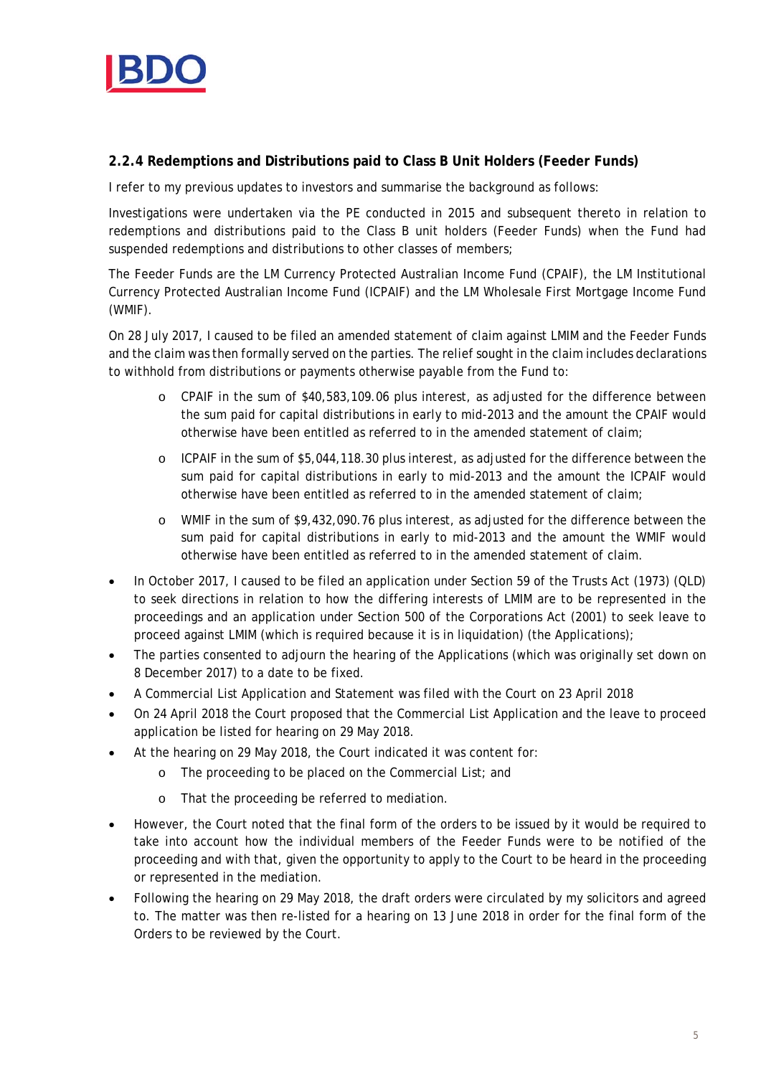

### **2.2.4 Redemptions and Distributions paid to Class B Unit Holders (Feeder Funds)**

I refer to my previous updates to investors and summarise the background as follows:

Investigations were undertaken via the PE conducted in 2015 and subsequent thereto in relation to redemptions and distributions paid to the Class B unit holders (Feeder Funds) when the Fund had suspended redemptions and distributions to other classes of members;

The Feeder Funds are the LM Currency Protected Australian Income Fund (CPAIF), the LM Institutional Currency Protected Australian Income Fund (ICPAIF) and the LM Wholesale First Mortgage Income Fund (WMIF).

On 28 July 2017, I caused to be filed an amended statement of claim against LMIM and the Feeder Funds and the claim was then formally served on the parties. The relief sought in the claim includes declarations to withhold from distributions or payments otherwise payable from the Fund to:

- o CPAIF in the sum of \$40,583,109.06 plus interest, as adjusted for the difference between the sum paid for capital distributions in early to mid-2013 and the amount the CPAIF would otherwise have been entitled as referred to in the amended statement of claim;
- o ICPAIF in the sum of \$5,044,118.30 plus interest, as adjusted for the difference between the sum paid for capital distributions in early to mid-2013 and the amount the ICPAIF would otherwise have been entitled as referred to in the amended statement of claim;
- o WMIF in the sum of \$9,432,090.76 plus interest, as adjusted for the difference between the sum paid for capital distributions in early to mid-2013 and the amount the WMIF would otherwise have been entitled as referred to in the amended statement of claim.
- In October 2017, I caused to be filed an application under Section 59 of the Trusts Act (1973) (QLD) to seek directions in relation to how the differing interests of LMIM are to be represented in the proceedings and an application under Section 500 of the Corporations Act (2001) to seek leave to proceed against LMIM (which is required because it is in liquidation) (the Applications);
- The parties consented to adjourn the hearing of the Applications (which was originally set down on 8 December 2017) to a date to be fixed.
- A Commercial List Application and Statement was filed with the Court on 23 April 2018
- On 24 April 2018 the Court proposed that the Commercial List Application and the leave to proceed application be listed for hearing on 29 May 2018.
- At the hearing on 29 May 2018, the Court indicated it was content for:
	- o The proceeding to be placed on the Commercial List; and
	- o That the proceeding be referred to mediation.
- However, the Court noted that the final form of the orders to be issued by it would be required to take into account how the individual members of the Feeder Funds were to be notified of the proceeding and with that, given the opportunity to apply to the Court to be heard in the proceeding or represented in the mediation.
- Following the hearing on 29 May 2018, the draft orders were circulated by my solicitors and agreed to. The matter was then re-listed for a hearing on 13 June 2018 in order for the final form of the Orders to be reviewed by the Court.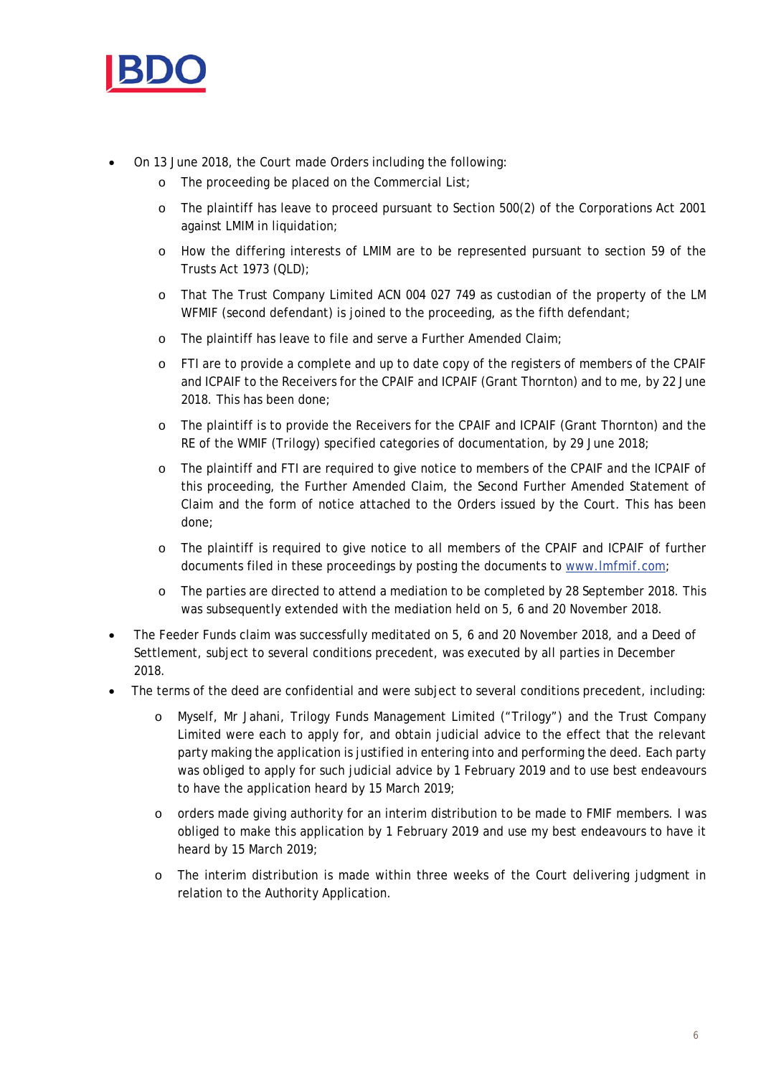

- On 13 June 2018, the Court made Orders including the following:
	- o The proceeding be placed on the Commercial List;
	- o The plaintiff has leave to proceed pursuant to Section 500(2) of the Corporations Act 2001 against LMIM in liquidation;
	- o How the differing interests of LMIM are to be represented pursuant to section 59 of the Trusts Act 1973 (QLD);
	- o That The Trust Company Limited ACN 004 027 749 as custodian of the property of the LM WFMIF (second defendant) is joined to the proceeding, as the fifth defendant;
	- o The plaintiff has leave to file and serve a Further Amended Claim;
	- o FTI are to provide a complete and up to date copy of the registers of members of the CPAIF and ICPAIF to the Receivers for the CPAIF and ICPAIF (Grant Thornton) and to me, by 22 June 2018. This has been done;
	- o The plaintiff is to provide the Receivers for the CPAIF and ICPAIF (Grant Thornton) and the RE of the WMIF (Trilogy) specified categories of documentation, by 29 June 2018;
	- o The plaintiff and FTI are required to give notice to members of the CPAIF and the ICPAIF of this proceeding, the Further Amended Claim, the Second Further Amended Statement of Claim and the form of notice attached to the Orders issued by the Court. This has been done;
	- o The plaintiff is required to give notice to all members of the CPAIF and ICPAIF of further documents filed in these proceedings by posting the documents to www.lmfmif.com;
	- o The parties are directed to attend a mediation to be completed by 28 September 2018. This was subsequently extended with the mediation held on 5, 6 and 20 November 2018.
- The Feeder Funds claim was successfully meditated on 5, 6 and 20 November 2018, and a Deed of Settlement, subject to several conditions precedent, was executed by all parties in December 2018.
- The terms of the deed are confidential and were subject to several conditions precedent, including:
	- o Myself, Mr Jahani, Trilogy Funds Management Limited ("Trilogy") and the Trust Company Limited were each to apply for, and obtain judicial advice to the effect that the relevant party making the application is justified in entering into and performing the deed. Each party was obliged to apply for such judicial advice by 1 February 2019 and to use best endeavours to have the application heard by 15 March 2019;
	- o orders made giving authority for an interim distribution to be made to FMIF members. I was obliged to make this application by 1 February 2019 and use my best endeavours to have it heard by 15 March 2019;
	- o The interim distribution is made within three weeks of the Court delivering judgment in relation to the Authority Application.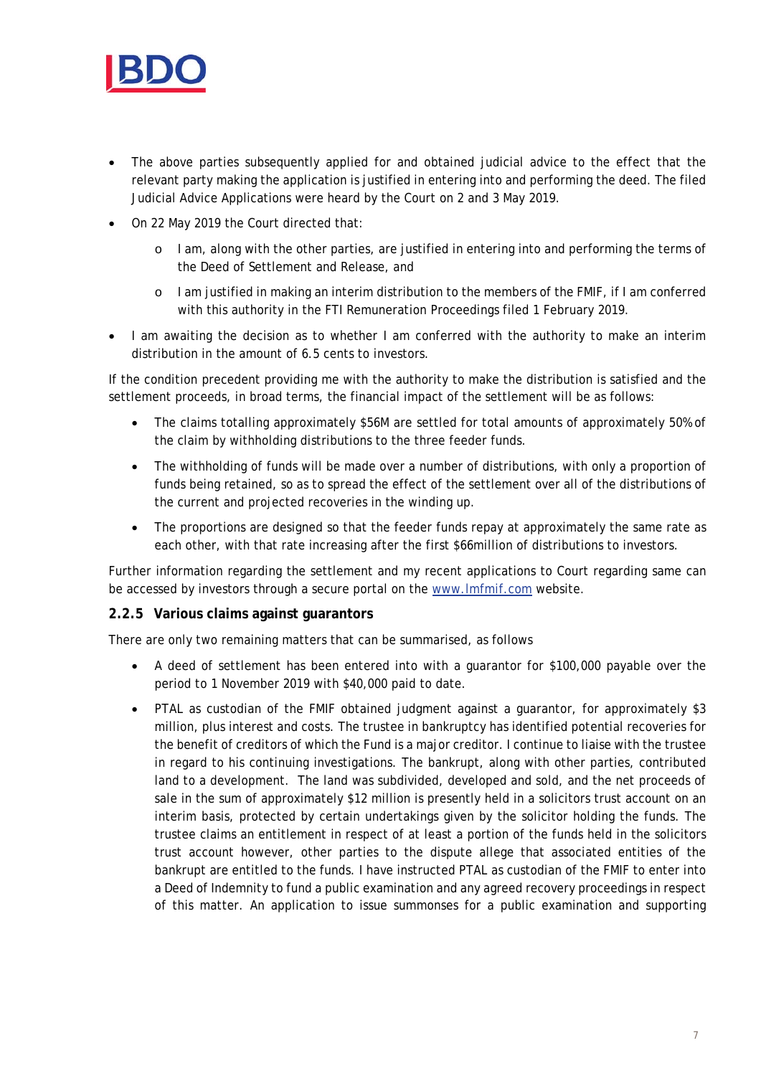

- The above parties subsequently applied for and obtained judicial advice to the effect that the relevant party making the application is justified in entering into and performing the deed. The filed Judicial Advice Applications were heard by the Court on 2 and 3 May 2019.
- On 22 May 2019 the Court directed that:
	- o I am, along with the other parties, are justified in entering into and performing the terms of the Deed of Settlement and Release, and
	- o I am justified in making an interim distribution to the members of the FMIF, if I am conferred with this authority in the FTI Remuneration Proceedings filed 1 February 2019.
- I am awaiting the decision as to whether I am conferred with the authority to make an interim distribution in the amount of 6.5 cents to investors.

If the condition precedent providing me with the authority to make the distribution is satisfied and the settlement proceeds, in broad terms, the financial impact of the settlement will be as follows:

- The claims totalling approximately \$56M are settled for total amounts of approximately 50% of the claim by withholding distributions to the three feeder funds.
- The withholding of funds will be made over a number of distributions, with only a proportion of funds being retained, so as to spread the effect of the settlement over all of the distributions of the current and projected recoveries in the winding up.
- The proportions are designed so that the feeder funds repay at approximately the same rate as each other, with that rate increasing after the first \$66million of distributions to investors.

Further information regarding the settlement and my recent applications to Court regarding same can be accessed by investors through a secure portal on the www.lmfmif.com website.

### **2.2.5 Various claims against guarantors**

There are only two remaining matters that can be summarised, as follows

- A deed of settlement has been entered into with a guarantor for \$100,000 payable over the period to 1 November 2019 with \$40,000 paid to date.
- PTAL as custodian of the FMIF obtained judgment against a guarantor, for approximately \$3 million, plus interest and costs. The trustee in bankruptcy has identified potential recoveries for the benefit of creditors of which the Fund is a major creditor. I continue to liaise with the trustee in regard to his continuing investigations. The bankrupt, along with other parties, contributed land to a development. The land was subdivided, developed and sold, and the net proceeds of sale in the sum of approximately \$12 million is presently held in a solicitors trust account on an interim basis, protected by certain undertakings given by the solicitor holding the funds. The trustee claims an entitlement in respect of at least a portion of the funds held in the solicitors trust account however, other parties to the dispute allege that associated entities of the bankrupt are entitled to the funds. I have instructed PTAL as custodian of the FMIF to enter into a Deed of Indemnity to fund a public examination and any agreed recovery proceedings in respect of this matter. An application to issue summonses for a public examination and supporting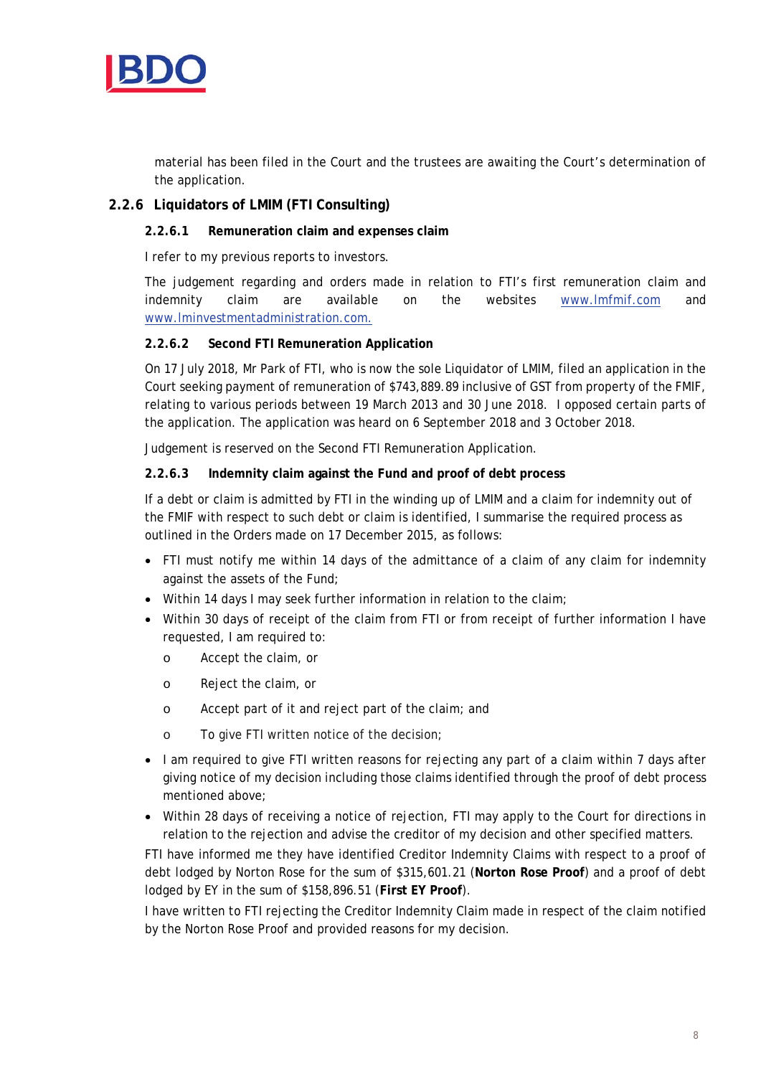

material has been filed in the Court and the trustees are awaiting the Court's determination of the application.

### **2.2.6 Liquidators of LMIM (FTI Consulting)**

#### **2.2.6.1 Remuneration claim and expenses claim**

I refer to my previous reports to investors.

The judgement regarding and orders made in relation to FTI's first remuneration claim and indemnity claim are available on the websites www.lmfmif.com and www.lminvestmentadministration.com.

#### **2.2.6.2 Second FTI Remuneration Application**

On 17 July 2018, Mr Park of FTI, who is now the sole Liquidator of LMIM, filed an application in the Court seeking payment of remuneration of \$743,889.89 inclusive of GST from property of the FMIF, relating to various periods between 19 March 2013 and 30 June 2018. I opposed certain parts of the application. The application was heard on 6 September 2018 and 3 October 2018.

Judgement is reserved on the Second FTI Remuneration Application.

#### **2.2.6.3 Indemnity claim against the Fund and proof of debt process**

If a debt or claim is admitted by FTI in the winding up of LMIM and a claim for indemnity out of the FMIF with respect to such debt or claim is identified, I summarise the required process as outlined in the Orders made on 17 December 2015, as follows:

- FTI must notify me within 14 days of the admittance of a claim of any claim for indemnity against the assets of the Fund;
- Within 14 days I may seek further information in relation to the claim;
- Within 30 days of receipt of the claim from FTI or from receipt of further information I have requested, I am required to:
	- o Accept the claim, or
	- o Reject the claim, or
	- o Accept part of it and reject part of the claim; and
	- o To give FTI written notice of the decision;
- I am required to give FTI written reasons for rejecting any part of a claim within 7 days after giving notice of my decision including those claims identified through the proof of debt process mentioned above;
- Within 28 days of receiving a notice of rejection, FTI may apply to the Court for directions in relation to the rejection and advise the creditor of my decision and other specified matters.

FTI have informed me they have identified Creditor Indemnity Claims with respect to a proof of debt lodged by Norton Rose for the sum of \$315,601.21 (**Norton Rose Proof**) and a proof of debt lodged by EY in the sum of \$158,896.51 (**First EY Proof**).

I have written to FTI rejecting the Creditor Indemnity Claim made in respect of the claim notified by the Norton Rose Proof and provided reasons for my decision.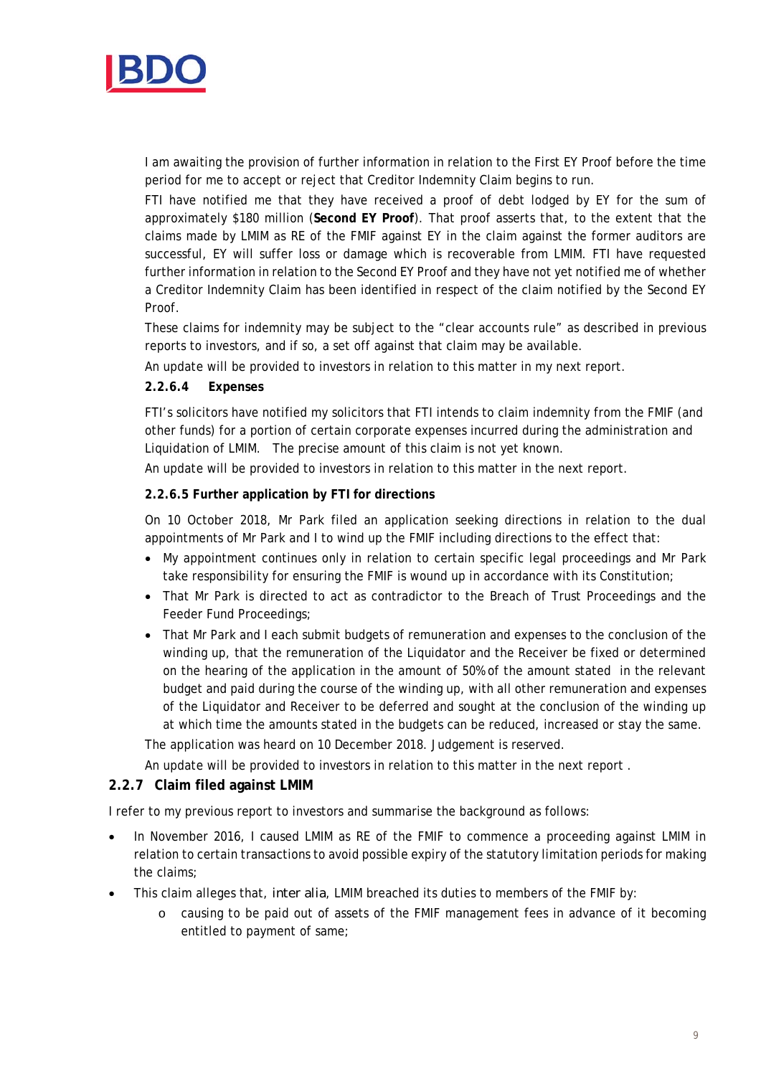

I am awaiting the provision of further information in relation to the First EY Proof before the time period for me to accept or reject that Creditor Indemnity Claim begins to run.

FTI have notified me that they have received a proof of debt lodged by EY for the sum of approximately \$180 million (**Second EY Proof**). That proof asserts that, to the extent that the claims made by LMIM as RE of the FMIF against EY in the claim against the former auditors are successful, EY will suffer loss or damage which is recoverable from LMIM. FTI have requested further information in relation to the Second EY Proof and they have not yet notified me of whether a Creditor Indemnity Claim has been identified in respect of the claim notified by the Second EY Proof.

These claims for indemnity may be subject to the "clear accounts rule" as described in previous reports to investors, and if so, a set off against that claim may be available.

An update will be provided to investors in relation to this matter in my next report.

#### **2.2.6.4 Expenses**

FTI's solicitors have notified my solicitors that FTI intends to claim indemnity from the FMIF (and other funds) for a portion of certain corporate expenses incurred during the administration and Liquidation of LMIM. The precise amount of this claim is not yet known.

An update will be provided to investors in relation to this matter in the next report.

#### **2.2.6.5 Further application by FTI for directions**

On 10 October 2018, Mr Park filed an application seeking directions in relation to the dual appointments of Mr Park and I to wind up the FMIF including directions to the effect that:

- My appointment continues only in relation to certain specific legal proceedings and Mr Park take responsibility for ensuring the FMIF is wound up in accordance with its Constitution;
- That Mr Park is directed to act as contradictor to the Breach of Trust Proceedings and the Feeder Fund Proceedings;
- That Mr Park and I each submit budgets of remuneration and expenses to the conclusion of the winding up, that the remuneration of the Liquidator and the Receiver be fixed or determined on the hearing of the application in the amount of 50% of the amount stated in the relevant budget and paid during the course of the winding up, with all other remuneration and expenses of the Liquidator and Receiver to be deferred and sought at the conclusion of the winding up at which time the amounts stated in the budgets can be reduced, increased or stay the same.

The application was heard on 10 December 2018. Judgement is reserved.

An update will be provided to investors in relation to this matter in the next report .

### **2.2.7 Claim filed against LMIM**

I refer to my previous report to investors and summarise the background as follows:

- In November 2016, I caused LMIM as RE of the FMIF to commence a proceeding against LMIM in relation to certain transactions to avoid possible expiry of the statutory limitation periods for making the claims;
- This claim alleges that, *inter alia*, LMIM breached its duties to members of the FMIF by:
	- o causing to be paid out of assets of the FMIF management fees in advance of it becoming entitled to payment of same;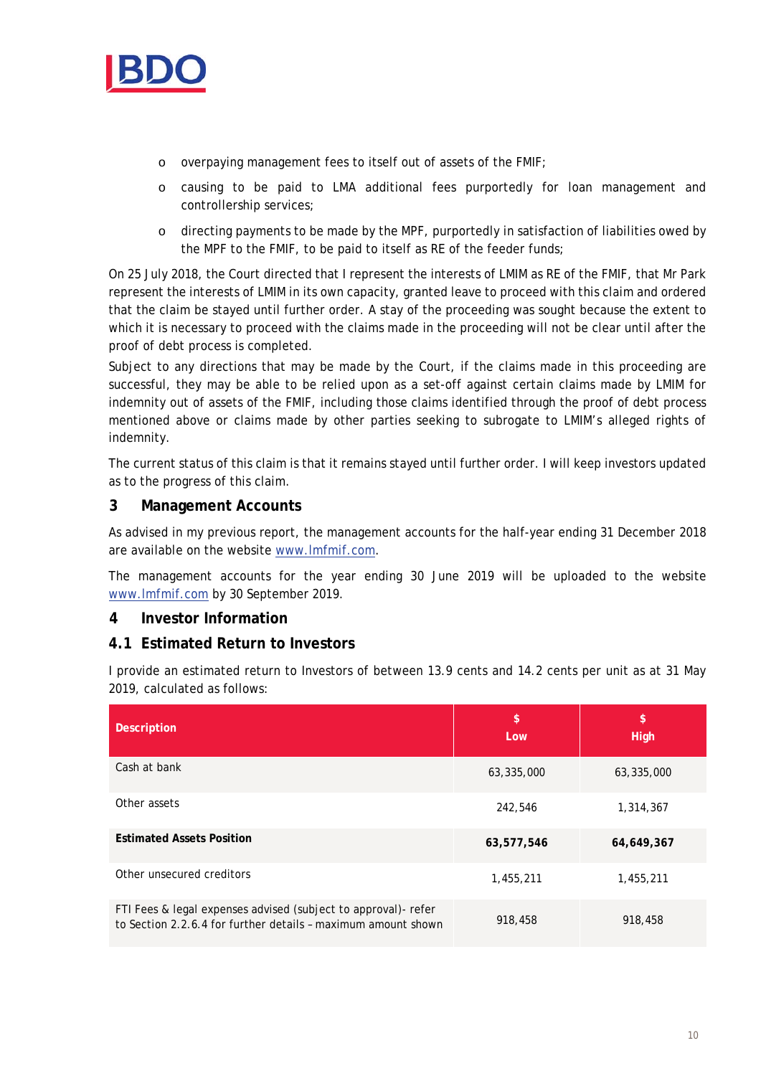

- o overpaying management fees to itself out of assets of the FMIF;
- o causing to be paid to LMA additional fees purportedly for loan management and controllership services;
- o directing payments to be made by the MPF, purportedly in satisfaction of liabilities owed by the MPF to the FMIF, to be paid to itself as RE of the feeder funds;

On 25 July 2018, the Court directed that I represent the interests of LMIM as RE of the FMIF, that Mr Park represent the interests of LMIM in its own capacity, granted leave to proceed with this claim and ordered that the claim be stayed until further order. A stay of the proceeding was sought because the extent to which it is necessary to proceed with the claims made in the proceeding will not be clear until after the proof of debt process is completed.

Subject to any directions that may be made by the Court, if the claims made in this proceeding are successful, they may be able to be relied upon as a set-off against certain claims made by LMIM for indemnity out of assets of the FMIF, including those claims identified through the proof of debt process mentioned above or claims made by other parties seeking to subrogate to LMIM's alleged rights of indemnity.

The current status of this claim is that it remains stayed until further order. I will keep investors updated as to the progress of this claim.

# **3 Management Accounts**

As advised in my previous report, the management accounts for the half-year ending 31 December 2018 are available on the website www.lmfmif.com.

The management accounts for the year ending 30 June 2019 will be uploaded to the website www.lmfmif.com by 30 September 2019.

# **4 Investor Information**

### **4.1 Estimated Return to Investors**

I provide an estimated return to Investors of between 13.9 cents and 14.2 cents per unit as at 31 May 2019, calculated as follows:

| <b>Description</b>                                                                                                              | \$<br>Low  | \$<br><b>High</b> |
|---------------------------------------------------------------------------------------------------------------------------------|------------|-------------------|
| Cash at bank                                                                                                                    | 63,335,000 | 63,335,000        |
| Other assets                                                                                                                    | 242,546    | 1,314,367         |
| <b>Estimated Assets Position</b>                                                                                                | 63,577,546 | 64,649,367        |
| Other unsecured creditors                                                                                                       | 1,455,211  | 1,455,211         |
| FTI Fees & legal expenses advised (subject to approval)- refer<br>to Section 2.2.6.4 for further details - maximum amount shown | 918,458    | 918,458           |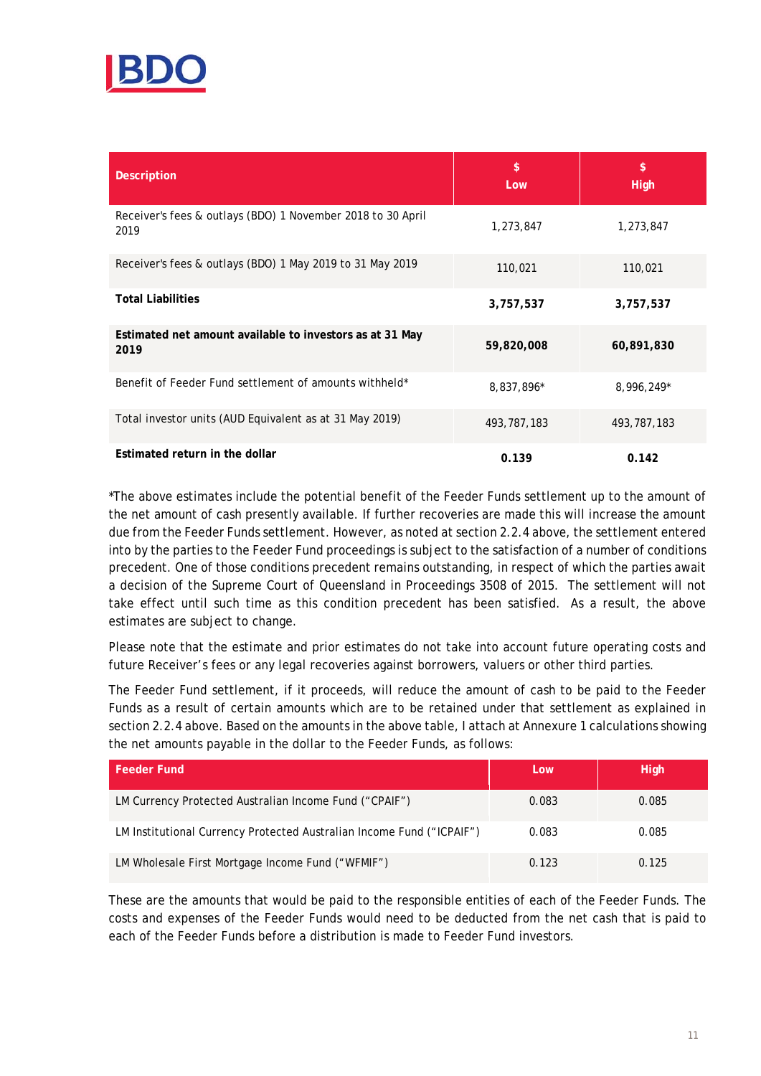

| <b>Description</b>                                                  | \$<br>Low   | \$<br><b>High</b> |
|---------------------------------------------------------------------|-------------|-------------------|
| Receiver's fees & outlays (BDO) 1 November 2018 to 30 April<br>2019 | 1,273,847   | 1,273,847         |
| Receiver's fees & outlays (BDO) 1 May 2019 to 31 May 2019           | 110,021     | 110,021           |
| <b>Total Liabilities</b>                                            | 3,757,537   | 3,757,537         |
| Estimated net amount available to investors as at 31 May<br>2019    | 59,820,008  | 60,891,830        |
| Benefit of Feeder Fund settlement of amounts withheld*              | 8,837,896*  | 8,996,249*        |
| Total investor units (AUD Equivalent as at 31 May 2019)             | 493,787,183 | 493, 787, 183     |
| Estimated return in the dollar                                      | 0.139       | 0.142             |

\*The above estimates include the potential benefit of the Feeder Funds settlement up to the amount of the net amount of cash presently available. If further recoveries are made this will increase the amount due from the Feeder Funds settlement. However, as noted at section 2.2.4 above, the settlement entered into by the parties to the Feeder Fund proceedings is subject to the satisfaction of a number of conditions precedent. One of those conditions precedent remains outstanding, in respect of which the parties await a decision of the Supreme Court of Queensland in Proceedings 3508 of 2015. The settlement will not take effect until such time as this condition precedent has been satisfied. As a result, the above estimates are subject to change.

Please note that the estimate and prior estimates do not take into account future operating costs and future Receiver's fees or any legal recoveries against borrowers, valuers or other third parties.

The Feeder Fund settlement, if it proceeds, will reduce the amount of cash to be paid to the Feeder Funds as a result of certain amounts which are to be retained under that settlement as explained in section 2.2.4 above. Based on the amounts in the above table, I attach at Annexure 1 calculations showing the net amounts payable in the dollar to the Feeder Funds, as follows:

| <b>Feeder Fund</b>                                                    | Low   | <b>High</b> |
|-----------------------------------------------------------------------|-------|-------------|
| LM Currency Protected Australian Income Fund ("CPAIF")                | 0.083 | 0.085       |
| LM Institutional Currency Protected Australian Income Fund ("ICPAIF") | 0.083 | 0.085       |
| LM Wholesale First Mortgage Income Fund ("WFMIF")                     | 0.123 | 0.125       |

These are the amounts that would be paid to the responsible entities of each of the Feeder Funds. The costs and expenses of the Feeder Funds would need to be deducted from the net cash that is paid to each of the Feeder Funds before a distribution is made to Feeder Fund investors.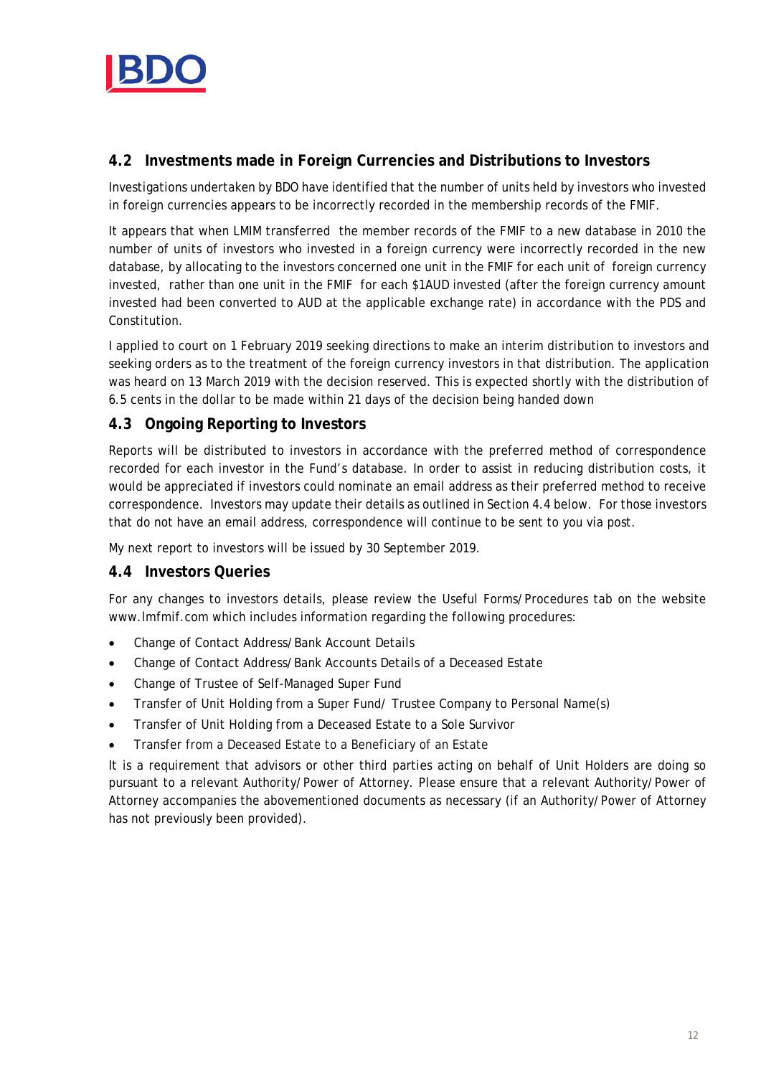

# **4.2 Investments made in Foreign Currencies and Distributions to Investors**

Investigations undertaken by BDO have identified that the number of units held by investors who invested in foreign currencies appears to be incorrectly recorded in the membership records of the FMIF.

It appears that when LMIM transferred the member records of the FMIF to a new database in 2010 the number of units of investors who invested in a foreign currency were incorrectly recorded in the new database, by allocating to the investors concerned one unit in the FMIF for each unit of foreign currency invested, rather than one unit in the FMIF for each \$1AUD invested (after the foreign currency amount invested had been converted to AUD at the applicable exchange rate) in accordance with the PDS and Constitution.

I applied to court on 1 February 2019 seeking directions to make an interim distribution to investors and seeking orders as to the treatment of the foreign currency investors in that distribution. The application was heard on 13 March 2019 with the decision reserved. This is expected shortly with the distribution of 6.5 cents in the dollar to be made within 21 days of the decision being handed down

# **4.3 Ongoing Reporting to Investors**

Reports will be distributed to investors in accordance with the preferred method of correspondence recorded for each investor in the Fund's database. In order to assist in reducing distribution costs, it would be appreciated if investors could nominate an email address as their preferred method to receive correspondence. Investors may update their details as outlined in Section 4.4 below. For those investors that do not have an email address, correspondence will continue to be sent to you via post.

My next report to investors will be issued by 30 September 2019.

# **4.4 Investors Queries**

For any changes to investors details, please review the Useful Forms/Procedures tab on the website www.lmfmif.com which includes information regarding the following procedures:

- Change of Contact Address/Bank Account Details
- Change of Contact Address/Bank Accounts Details of a Deceased Estate
- Change of Trustee of Self-Managed Super Fund
- Transfer of Unit Holding from a Super Fund/ Trustee Company to Personal Name(s)
- Transfer of Unit Holding from a Deceased Estate to a Sole Survivor
- Transfer from a Deceased Estate to a Beneficiary of an Estate

It is a requirement that advisors or other third parties acting on behalf of Unit Holders are doing so pursuant to a relevant Authority/Power of Attorney. Please ensure that a relevant Authority/Power of Attorney accompanies the abovementioned documents as necessary (if an Authority/Power of Attorney has not previously been provided).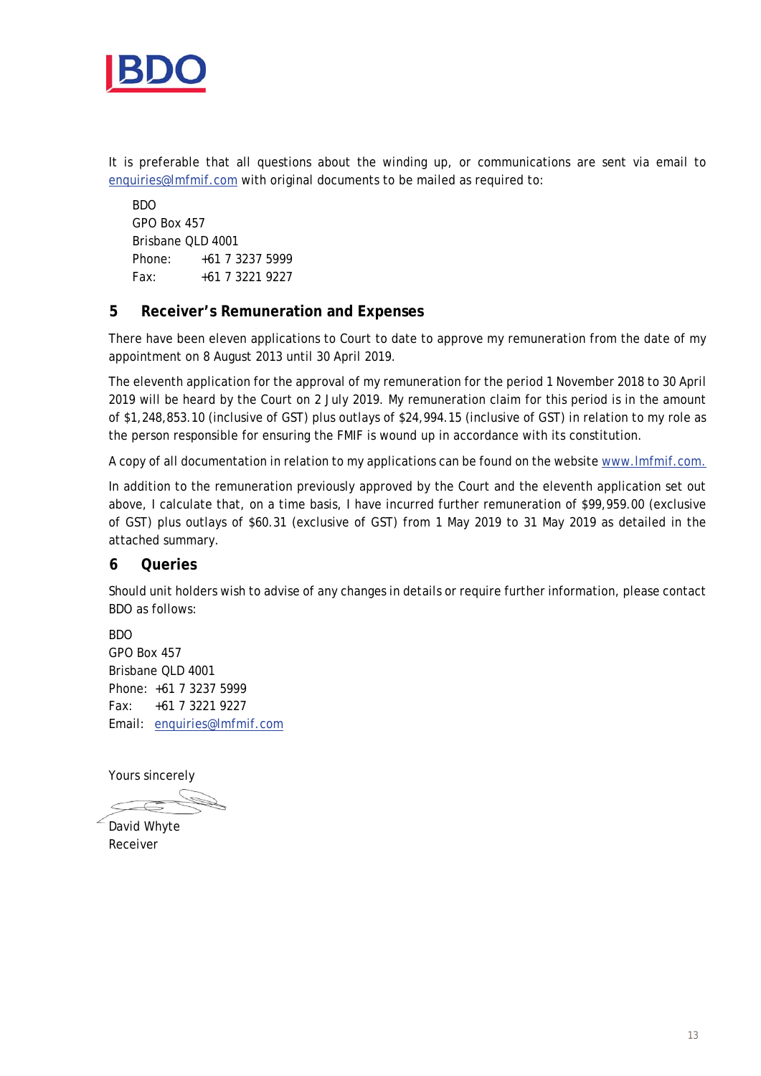

It is preferable that all questions about the winding up, or communications are sent via email to enquiries@lmfmif.com with original documents to be mailed as required to:

BDO GPO Box 457 Brisbane QLD 4001 Phone: +61 7 3237 5999  $Fax: +61 7 3221 9227$ 

# **5 Receiver's Remuneration and Expenses**

There have been eleven applications to Court to date to approve my remuneration from the date of my appointment on 8 August 2013 until 30 April 2019.

The eleventh application for the approval of my remuneration for the period 1 November 2018 to 30 April 2019 will be heard by the Court on 2 July 2019. My remuneration claim for this period is in the amount of \$1,248,853.10 (inclusive of GST) plus outlays of \$24,994.15 (inclusive of GST) in relation to my role as the person responsible for ensuring the FMIF is wound up in accordance with its constitution.

A copy of all documentation in relation to my applications can be found on the website www.lmfmif.com.

In addition to the remuneration previously approved by the Court and the eleventh application set out above, I calculate that, on a time basis, I have incurred further remuneration of \$99,959.00 (exclusive of GST) plus outlays of \$60.31 (exclusive of GST) from 1 May 2019 to 31 May 2019 as detailed in the attached summary.

### **6 Queries**

Should unit holders wish to advise of any changes in details or require further information, please contact BDO as follows:

BDO GPO Box 457 Brisbane QLD 4001 Phone: +61 7 3237 5999 Fax: +61 7 3221 9227 Email: enquiries@lmfmif.com

Yours sincerely

David Whyte

Receiver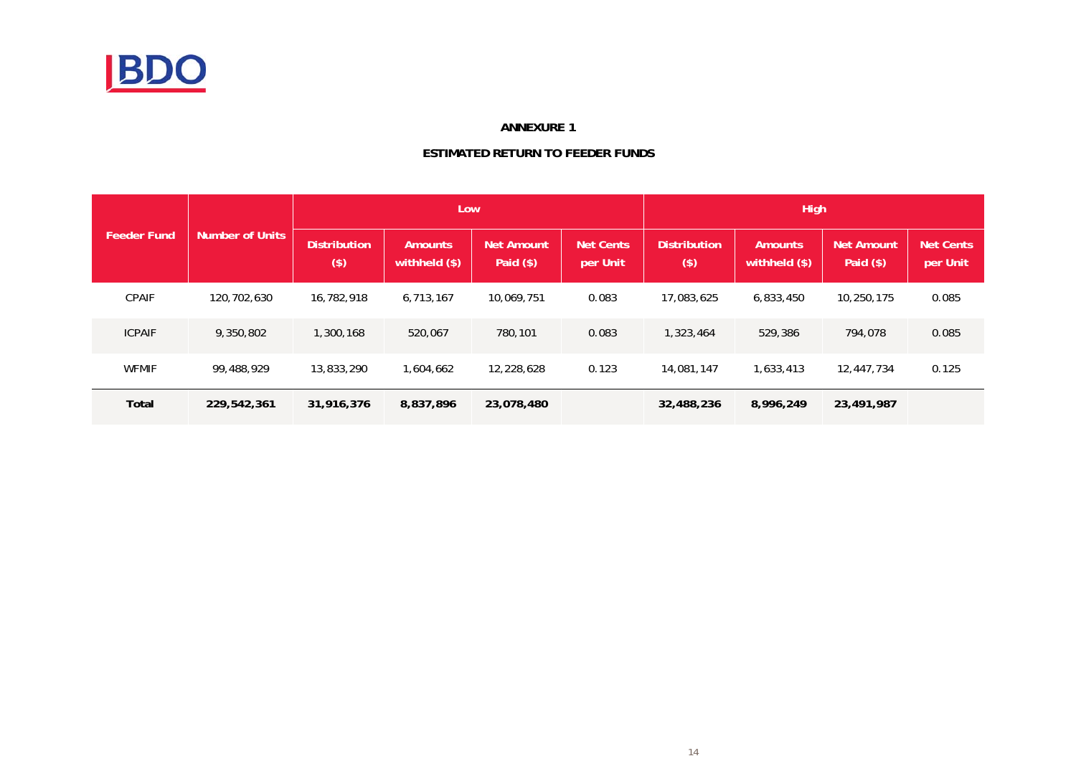

#### **ANNEXURE 1**

#### **ESTIMATED RETURN TO FEEDER FUNDS**

|                    |                        |                                | <b>High</b>                      |                           |                              |                              |                                 |                           |                              |
|--------------------|------------------------|--------------------------------|----------------------------------|---------------------------|------------------------------|------------------------------|---------------------------------|---------------------------|------------------------------|
| <b>Feeder Fund</b> | <b>Number of Units</b> | <b>Distribution</b><br>$($ \$) | <b>Amounts</b><br>withheld (\$). | Net Amount<br>Paid $(\$)$ | <b>Net Cents</b><br>per Unit | <b>Distribution</b><br>$($)$ | <b>Amounts</b><br>withheld (\$) | Net Amount<br>Paid $(\$)$ | <b>Net Cents</b><br>per Unit |
| <b>CPAIF</b>       | 120,702,630            | 16,782,918                     | 6.713.167                        | 10,069,751                | 0.083                        | 17,083,625                   | 6,833,450                       | 10,250,175                | 0.085                        |
| <b>ICPAIF</b>      | 9,350,802              | 1,300,168                      | 520,067                          | 780,101                   | 0.083                        | 1,323,464                    | 529,386                         | 794,078                   | 0.085                        |
| <b>WFMIF</b>       | 99,488,929             | 13,833,290                     | 1,604,662                        | 12,228,628                | 0.123                        | 14,081,147                   | 1,633,413                       | 12,447,734                | 0.125                        |
| Total              | 229,542,361            | 31,916,376                     | 8,837,896                        | 23,078,480                |                              | 32,488,236                   | 8,996,249                       | 23,491,987                |                              |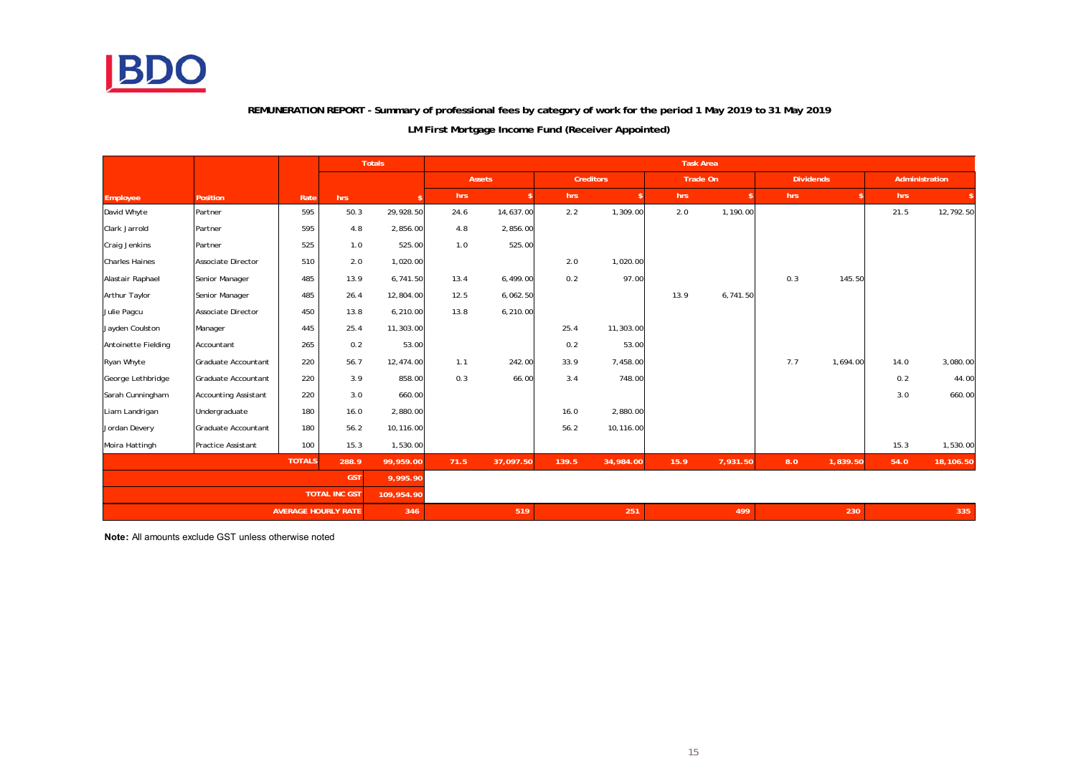

#### **REMUNERATION REPORT - Summary of professional fees by category of work for the period 1 May 2019 to 31 May 2019**

#### **LM First Mortgage Income Fund (Receiver Appointed)**

|                       |                             |               |                      | <b>Totals</b> | <b>Task Area</b> |           |                  |           |          |          |                  |          |                |           |
|-----------------------|-----------------------------|---------------|----------------------|---------------|------------------|-----------|------------------|-----------|----------|----------|------------------|----------|----------------|-----------|
|                       |                             |               |                      |               | Assets           |           | <b>Creditors</b> |           | Trade On |          | <b>Dividends</b> |          | Administration |           |
| Employee              | <b>Position</b>             | Rate          | hrs                  |               | hrs              |           | hrs              |           | hrs      |          | hrs              |          | hrs            |           |
| David Whyte           | Partner                     | 595           | 50.3                 | 29,928.50     | 24.6             | 14,637.00 | 2.2              | 1,309.00  | 2.0      | 1,190.00 |                  |          | 21.5           | 12,792.50 |
| Clark Jarrold         | Partner                     | 595           | 4.8                  | 2,856.00      | 4.8              | 2,856.00  |                  |           |          |          |                  |          |                |           |
| Craig Jenkins         | Partner                     | 525           | 1.0                  | 525.00        | 1.0              | 525.00    |                  |           |          |          |                  |          |                |           |
| <b>Charles Haines</b> | <b>Associate Director</b>   | 510           | 2.0                  | 1,020.00      |                  |           | 2.0              | 1,020.00  |          |          |                  |          |                |           |
| Alastair Raphael      | Senior Manager              | 485           | 13.9                 | 6,741.50      | 13.4             | 6,499.00  | 0.2              | 97.00     |          |          | 0.3              | 145.50   |                |           |
| Arthur Taylor         | Senior Manager              | 485           | 26.4                 | 12,804.00     | 12.5             | 6,062.50  |                  |           | 13.9     | 6,741.50 |                  |          |                |           |
| Julie Pagcu           | Associate Director          | 450           | 13.8                 | 6,210.00      | 13.8             | 6,210.00  |                  |           |          |          |                  |          |                |           |
| Jayden Coulston       | Manager                     | 445           | 25.4                 | 11,303.00     |                  |           | 25.4             | 11,303.00 |          |          |                  |          |                |           |
| Antoinette Fielding   | Accountant                  | 265           | 0.2                  | 53.00         |                  |           | 0.2              | 53.00     |          |          |                  |          |                |           |
| Ryan Whyte            | Graduate Accountant         | 220           | 56.7                 | 12,474.00     | 1.1              | 242.00    | 33.9             | 7,458.00  |          |          | 7.7              | 1,694.00 | 14.0           | 3,080.00  |
| George Lethbridge     | Graduate Accountant         | 220           | 3.9                  | 858.00        | 0.3              | 66.00     | 3.4              | 748.00    |          |          |                  |          | 0.2            | 44.00     |
| Sarah Cunningham      | <b>Accounting Assistant</b> | 220           | 3.0                  | 660.00        |                  |           |                  |           |          |          |                  |          | 3.0            | 660.00    |
| Liam Landrigan        | Undergraduate               | 180           | 16.0                 | 2,880.00      |                  |           | 16.0             | 2,880.00  |          |          |                  |          |                |           |
| Jordan Devery         | Graduate Accountant         | 180           | 56.2                 | 10,116.00     |                  |           | 56.2             | 10,116.00 |          |          |                  |          |                |           |
| Moira Hattingh        | Practice Assistant          | 100           | 15.3                 | 1,530.00      |                  |           |                  |           |          |          |                  |          | 15.3           | 1,530.00  |
|                       |                             | <b>TOTALS</b> | 288.9                | 99,959.00     | 71.5             | 37,097.50 | 139.5            | 34,984.00 | 15.9     | 7,931.50 | 8.0              | 1,839.50 | 54.0           | 18,106.50 |
|                       | <b>GST</b><br>9,995.90      |               |                      |               |                  |           |                  |           |          |          |                  |          |                |           |
|                       |                             |               | <b>TOTAL INC GST</b> | 109,954.90    |                  |           |                  |           |          |          |                  |          |                |           |
|                       | <b>AVERAGE HOURLY RATE</b>  |               | 346                  |               | 519              |           | 251              |           | 499      |          | 230              |          | 335            |           |

**Note:** All amounts exclude GST unless otherwise noted